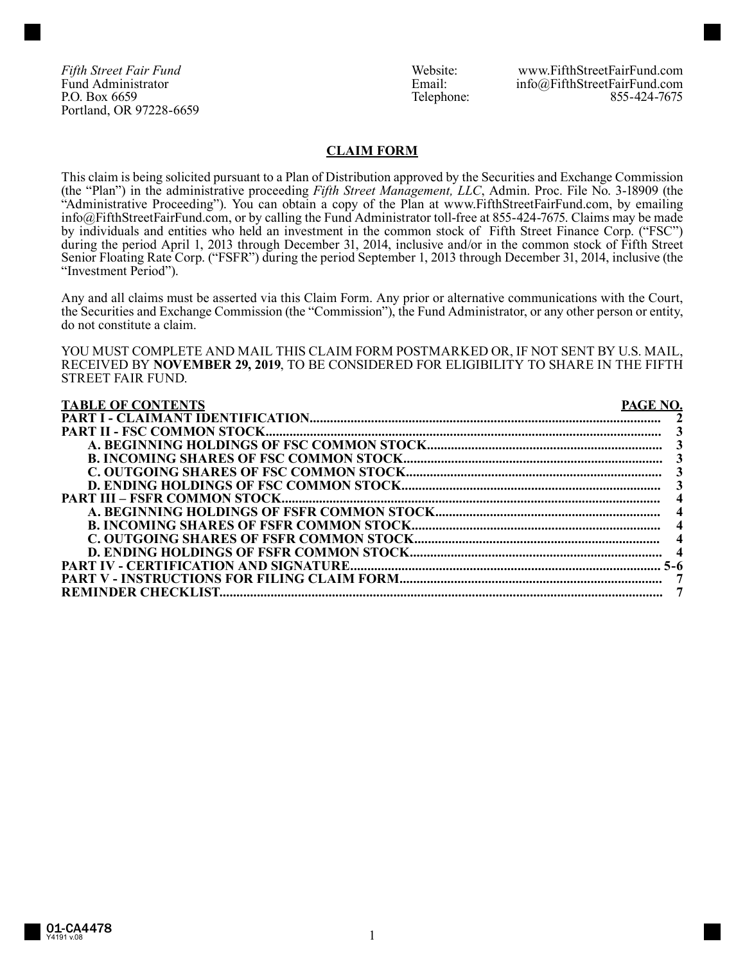Portland, OR 97228-6659

*Fifth Street Fair Fund*<br>
Fund Administrator **Mateurs Communistrator**<br>
Fund Administrator **Mateurs Communistrator**<br>
Fund Administrator **Mateurs Communistration** Fund Administrator **Email:** info@FifthStreetFairFund.com<br>P.O. Box 6659 **Email:** info@FifthStreetFairFund.com<br>855-424-7675 P.O. Box 6659 855-424-7675

### **CLAIM FORM**

This claim is being solicited pursuant to a Plan of Distribution approved by the Securities and Exchange Commission (the "Plan") in the administrative proceeding *Fifth Street Management, LLC*, Admin. Proc. File No. 3-18909 (the "Administrative Proceeding"). You can obtain a copy of the Plan at www.FifthStreetFairFund.com, by emailing info@FifthStreetFairFund.com, or by calling the Fund Administrator toll-free at 855-424-7675. Claims may be made by individuals and entities who held an investment in the common stock of Fifth Street Finance Corp. ("FSC") during the period April 1, 2013 through December 31, 2014, inclusive and/or in the common stock of Fifth Street Senior Floating Rate Corp. ("FSFR") during the period September 1, 2013 through December 31, 2014, inclusive (the "Investment Period").

Any and all claims must be asserted via this Claim Form. Any prior or alternative communications with the Court, the Securities and Exchange Commission (the "Commission"), the Fund Administrator, or any other person or entity, do not constitute a claim.

YOU MUST COMPLETE AND MAIL THIS CLAIM FORM POSTMARKED OR, IF NOT SENT BY U.S. MAIL, RECEIVED BY **NOVEMBER 29, 2019**, TO BE CONSIDERED FOR ELIGIBILITY TO SHARE IN THE FIFTH STREET FAIR FUND.

| <b>TABLE OF CONTENTS</b><br>PAGE NO |  |
|-------------------------------------|--|
|                                     |  |
|                                     |  |
|                                     |  |
|                                     |  |
|                                     |  |
|                                     |  |
|                                     |  |
|                                     |  |
|                                     |  |
|                                     |  |
|                                     |  |
|                                     |  |
|                                     |  |
|                                     |  |
|                                     |  |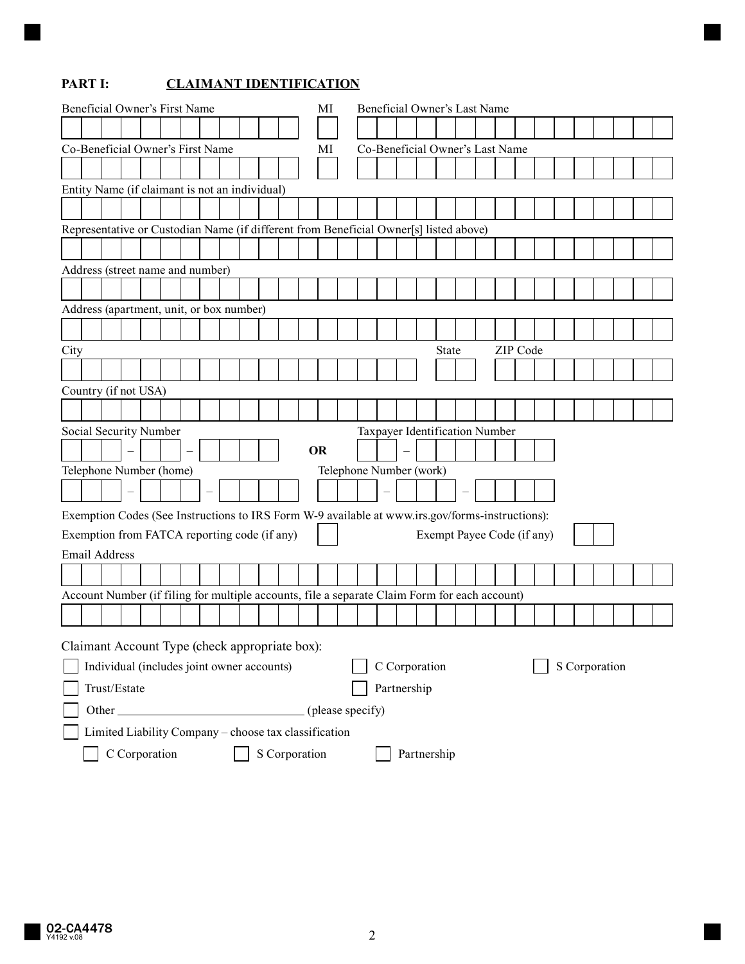# **PART I: CLAIMANT IDENTIFICATION**

| Beneficial Owner's First Name    |                                                                                                 |  |  |  |  |  |  | MI |  | Beneficial Owner's Last Name |  |  |           |  |  |  |                                 |                         |  |                                |  |  |  |  |  |  |
|----------------------------------|-------------------------------------------------------------------------------------------------|--|--|--|--|--|--|----|--|------------------------------|--|--|-----------|--|--|--|---------------------------------|-------------------------|--|--------------------------------|--|--|--|--|--|--|
|                                  |                                                                                                 |  |  |  |  |  |  |    |  |                              |  |  |           |  |  |  |                                 |                         |  |                                |  |  |  |  |  |  |
| Co-Beneficial Owner's First Name |                                                                                                 |  |  |  |  |  |  |    |  | МI                           |  |  |           |  |  |  | Co-Beneficial Owner's Last Name |                         |  |                                |  |  |  |  |  |  |
|                                  |                                                                                                 |  |  |  |  |  |  |    |  |                              |  |  |           |  |  |  |                                 |                         |  |                                |  |  |  |  |  |  |
|                                  | Entity Name (if claimant is not an individual)                                                  |  |  |  |  |  |  |    |  |                              |  |  |           |  |  |  |                                 |                         |  |                                |  |  |  |  |  |  |
|                                  |                                                                                                 |  |  |  |  |  |  |    |  |                              |  |  |           |  |  |  |                                 |                         |  |                                |  |  |  |  |  |  |
|                                  | Representative or Custodian Name (if different from Beneficial Owner[s] listed above)           |  |  |  |  |  |  |    |  |                              |  |  |           |  |  |  |                                 |                         |  |                                |  |  |  |  |  |  |
|                                  |                                                                                                 |  |  |  |  |  |  |    |  |                              |  |  |           |  |  |  |                                 |                         |  |                                |  |  |  |  |  |  |
|                                  | Address (street name and number)                                                                |  |  |  |  |  |  |    |  |                              |  |  |           |  |  |  |                                 |                         |  |                                |  |  |  |  |  |  |
|                                  |                                                                                                 |  |  |  |  |  |  |    |  |                              |  |  |           |  |  |  |                                 |                         |  |                                |  |  |  |  |  |  |
|                                  | Address (apartment, unit, or box number)                                                        |  |  |  |  |  |  |    |  |                              |  |  |           |  |  |  |                                 |                         |  |                                |  |  |  |  |  |  |
|                                  |                                                                                                 |  |  |  |  |  |  |    |  |                              |  |  |           |  |  |  |                                 |                         |  |                                |  |  |  |  |  |  |
| City                             | ZIP Code<br><b>State</b>                                                                        |  |  |  |  |  |  |    |  |                              |  |  |           |  |  |  |                                 |                         |  |                                |  |  |  |  |  |  |
|                                  |                                                                                                 |  |  |  |  |  |  |    |  |                              |  |  |           |  |  |  |                                 |                         |  |                                |  |  |  |  |  |  |
|                                  | Country (if not USA)                                                                            |  |  |  |  |  |  |    |  |                              |  |  |           |  |  |  |                                 |                         |  |                                |  |  |  |  |  |  |
|                                  |                                                                                                 |  |  |  |  |  |  |    |  |                              |  |  |           |  |  |  |                                 |                         |  |                                |  |  |  |  |  |  |
|                                  | Social Security Number                                                                          |  |  |  |  |  |  |    |  |                              |  |  |           |  |  |  |                                 |                         |  | Taxpayer Identification Number |  |  |  |  |  |  |
|                                  |                                                                                                 |  |  |  |  |  |  |    |  |                              |  |  | <b>OR</b> |  |  |  |                                 |                         |  |                                |  |  |  |  |  |  |
|                                  | Telephone Number (home)                                                                         |  |  |  |  |  |  |    |  |                              |  |  |           |  |  |  |                                 | Telephone Number (work) |  |                                |  |  |  |  |  |  |
|                                  |                                                                                                 |  |  |  |  |  |  |    |  |                              |  |  |           |  |  |  |                                 |                         |  |                                |  |  |  |  |  |  |
|                                  | Exemption Codes (See Instructions to IRS Form W-9 available at www.irs.gov/forms-instructions): |  |  |  |  |  |  |    |  |                              |  |  |           |  |  |  |                                 |                         |  |                                |  |  |  |  |  |  |
|                                  | Exemption from FATCA reporting code (if any)                                                    |  |  |  |  |  |  |    |  |                              |  |  |           |  |  |  |                                 |                         |  | Exempt Payee Code (if any)     |  |  |  |  |  |  |
|                                  | <b>Email Address</b>                                                                            |  |  |  |  |  |  |    |  |                              |  |  |           |  |  |  |                                 |                         |  |                                |  |  |  |  |  |  |
|                                  |                                                                                                 |  |  |  |  |  |  |    |  |                              |  |  |           |  |  |  |                                 |                         |  |                                |  |  |  |  |  |  |
|                                  | Account Number (if filing for multiple accounts, file a separate Claim Form for each account)   |  |  |  |  |  |  |    |  |                              |  |  |           |  |  |  |                                 |                         |  |                                |  |  |  |  |  |  |
|                                  |                                                                                                 |  |  |  |  |  |  |    |  |                              |  |  |           |  |  |  |                                 |                         |  |                                |  |  |  |  |  |  |
|                                  |                                                                                                 |  |  |  |  |  |  |    |  |                              |  |  |           |  |  |  |                                 |                         |  |                                |  |  |  |  |  |  |
|                                  | Claimant Account Type (check appropriate box):                                                  |  |  |  |  |  |  |    |  |                              |  |  |           |  |  |  |                                 |                         |  |                                |  |  |  |  |  |  |
|                                  | C Corporation<br>S Corporation<br>Individual (includes joint owner accounts)                    |  |  |  |  |  |  |    |  |                              |  |  |           |  |  |  |                                 |                         |  |                                |  |  |  |  |  |  |
|                                  | Trust/Estate<br>Partnership                                                                     |  |  |  |  |  |  |    |  |                              |  |  |           |  |  |  |                                 |                         |  |                                |  |  |  |  |  |  |
|                                  |                                                                                                 |  |  |  |  |  |  |    |  |                              |  |  |           |  |  |  |                                 |                         |  |                                |  |  |  |  |  |  |
|                                  | Limited Liability Company - choose tax classification                                           |  |  |  |  |  |  |    |  |                              |  |  |           |  |  |  |                                 |                         |  |                                |  |  |  |  |  |  |
|                                  | C Corporation<br>S Corporation<br>Partnership                                                   |  |  |  |  |  |  |    |  |                              |  |  |           |  |  |  |                                 |                         |  |                                |  |  |  |  |  |  |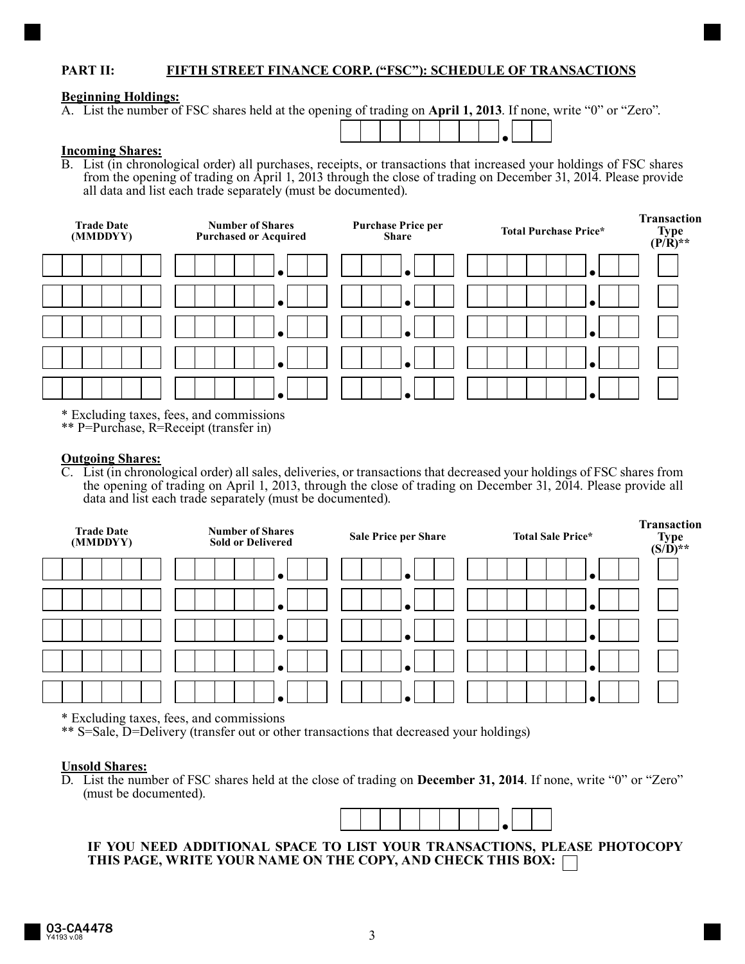## **PART II: FIFTH STREET FINANCE CORP. ("FSC"): SCHEDULE OF TRANSACTIONS**

## **Beginning Holdings:**

A. List the number of FSC shares held at the opening of trading on **April 1, 2013**. If none, write "0" or "Zero".

#### **Incoming Shares:**

B. List (in chronological order) all purchases, receipts, or transactions that increased your holdings of FSC shares from the opening of trading on April 1, 2013 through the close of trading on December 31, 2014. Please provide all data and list each trade separately (must be documented).

*●*



\* Excluding taxes, fees, and commissions

\*\* P=Purchase, R=Receipt (transfer in)

#### **Outgoing Shares:**

C. List (in chronological order) all sales, deliveries, or transactions that decreased your holdings of FSC shares from the opening of trading on April 1, 2013, through the close of trading on December 31, 2014. Please provide all data and list each trade separately (must be documented).

| <b>Trade Date</b><br>(MMDDYY) | <b>Number of Shares</b><br><b>Sold or Delivered</b> | Sale Price per Share | <b>Total Sale Price*</b> | <b>Transaction</b><br>Type $(S/D)$ ** |  |  |  |
|-------------------------------|-----------------------------------------------------|----------------------|--------------------------|---------------------------------------|--|--|--|
|                               |                                                     |                      |                          |                                       |  |  |  |
|                               |                                                     |                      |                          |                                       |  |  |  |
|                               | $\bullet$                                           |                      |                          |                                       |  |  |  |
|                               | $\bullet$                                           |                      |                          |                                       |  |  |  |
|                               |                                                     |                      |                          |                                       |  |  |  |

\* Excluding taxes, fees, and commissions

\*\* S=Sale, D=Delivery (transfer out or other transactions that decreased your holdings)

#### **Unsold Shares:**

D. List the number of FSC shares held at the close of trading on **December 31, 2014**. If none, write "0" or "Zero" (must be documented).



## **IF YOU NEED ADDITIONAL SPACE TO LIST YOUR TRANSACTIONS, PLEASE PHOTOCOPY THIS PAGE, WRITE YOUR NAME ON THE COPY, AND CHECK THIS BOX:**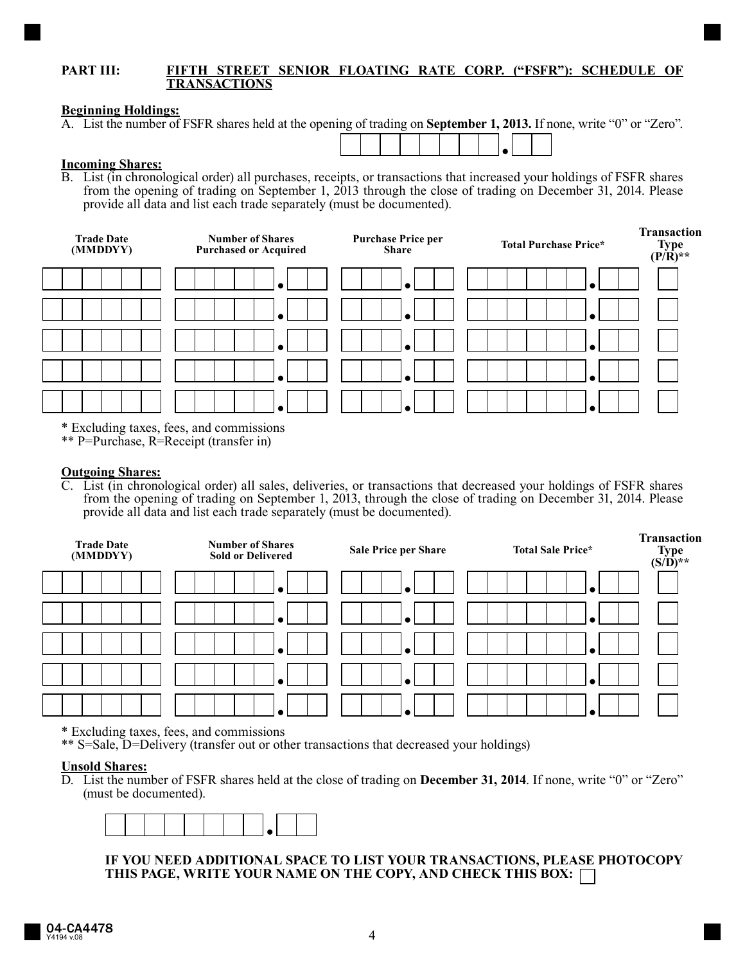### **PART III: FIFTH STREET SENIOR FLOATING RATE CORP. ("FSFR"): SCHEDULE OF TRANSACTIONS**

#### **Beginning Holdings:**

A. List the number of FSFR shares held at the opening of trading on **September 1, 2013.** If none, write "0" or "Zero".



#### **Incoming Shares:**

B. List (in chronological order) all purchases, receipts, or transactions that increased your holdings of FSFR shares from the opening of trading on September 1, 2013 through the close of trading on December 31, 2014. Please provide all data and list each trade separately (must be documented).



\* Excluding taxes, fees, and commissions

\*\* P=Purchase, R=Receipt (transfer in)

#### **Outgoing Shares:**

C. List (in chronological order) all sales, deliveries, or transactions that decreased your holdings of FSFR shares from the opening of trading on September 1, 2013, through the close of trading on December 31, 2014. Please provide all data and list each trade separately (must be documented).



\* Excluding taxes, fees, and commissions

\*\* S=Sale, D=Delivery (transfer out or other transactions that decreased your holdings)

#### **Unsold Shares:**

D. List the number of FSFR shares held at the close of trading on **December 31, 2014**. If none, write "0" or "Zero" (must be documented).



**IF YOU NEED ADDITIONAL SPACE TO LIST YOUR TRANSACTIONS, PLEASE PHOTOCOPY THIS PAGE, WRITE YOUR NAME ON THE COPY, AND CHECK THIS BOX:**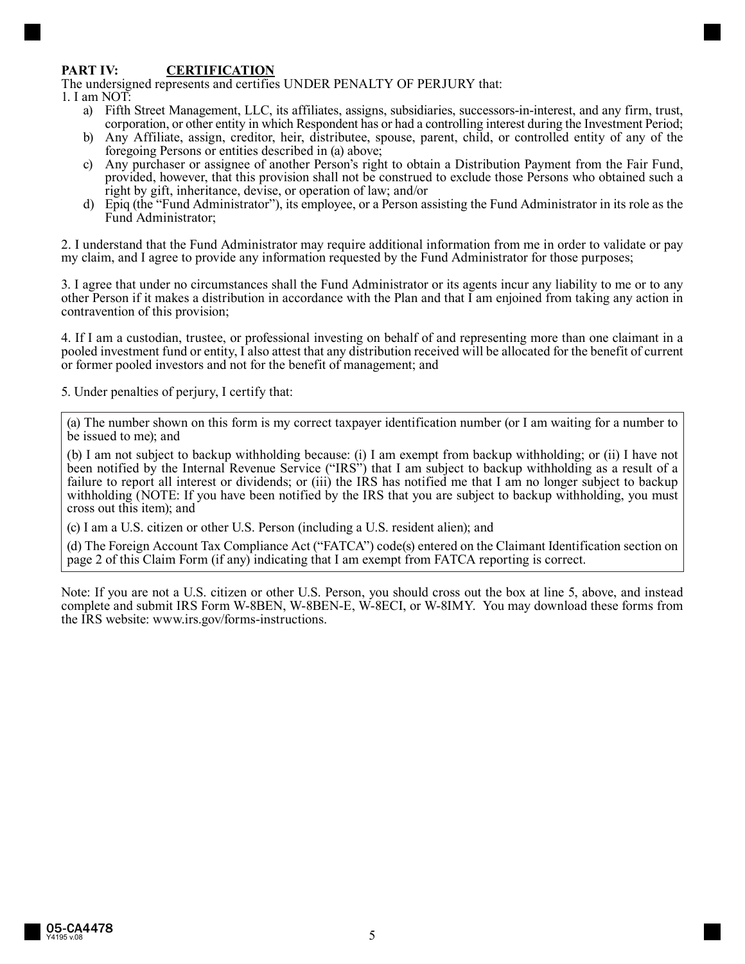## **PART IV: CERTIFICATION**

The undersigned represents and certifies UNDER PENALTY OF PERJURY that:

- 1. I am NOT:
	- a) Fifth Street Management, LLC, its affiliates, assigns, subsidiaries, successors-in-interest, and any firm, trust, corporation, or other entity in which Respondent has or had a controlling interest during the Investment Period;
	- b) Any Affiliate, assign, creditor, heir, distributee, spouse, parent, child, or controlled entity of any of the foregoing Persons or entities described in (a) above;
	- c) Any purchaser or assignee of another Person's right to obtain a Distribution Payment from the Fair Fund, provided, however, that this provision shall not be construed to exclude those Persons who obtained such a right by gift, inheritance, devise, or operation of law; and/or
	- d) Epiq (the "Fund Administrator"), its employee, or a Person assisting the Fund Administrator in its role as the Fund Administrator;

2. I understand that the Fund Administrator may require additional information from me in order to validate or pay my claim, and I agree to provide any information requested by the Fund Administrator for those purposes;

3. I agree that under no circumstances shall the Fund Administrator or its agents incur any liability to me or to any other Person if it makes a distribution in accordance with the Plan and that I am enjoined from taking any action in contravention of this provision;

4. If I am a custodian, trustee, or professional investing on behalf of and representing more than one claimant in a pooled investment fund or entity, I also attest that any distribution received will be allocated for the benefit of current or former pooled investors and not for the benefit of management; and

5. Under penalties of perjury, I certify that:

(a) The number shown on this form is my correct taxpayer identification number (or I am waiting for a number to be issued to me); and

(b) I am not subject to backup withholding because: (i) I am exempt from backup withholding; or (ii) I have not been notified by the Internal Revenue Service ("IRS") that I am subject to backup withholding as a result of a failure to report all interest or dividends; or (iii) the IRS has notified me that I am no longer subject to backup withholding (NOTE: If you have been notified by the IRS that you are subject to backup withholding, you must cross out this item); and

(c) I am a U.S. citizen or other U.S. Person (including a U.S. resident alien); and

(d) The Foreign Account Tax Compliance Act ("FATCA") code(s) entered on the Claimant Identification section on page 2 of this Claim Form (if any) indicating that I am exempt from FATCA reporting is correct.

Note: If you are not a U.S. citizen or other U.S. Person, you should cross out the box at line 5, above, and instead complete and submit IRS Form W-8BEN, W-8BEN-E, W-8ECI, or W-8IMY. You may download these forms from the IRS website: www.irs.gov/forms-instructions.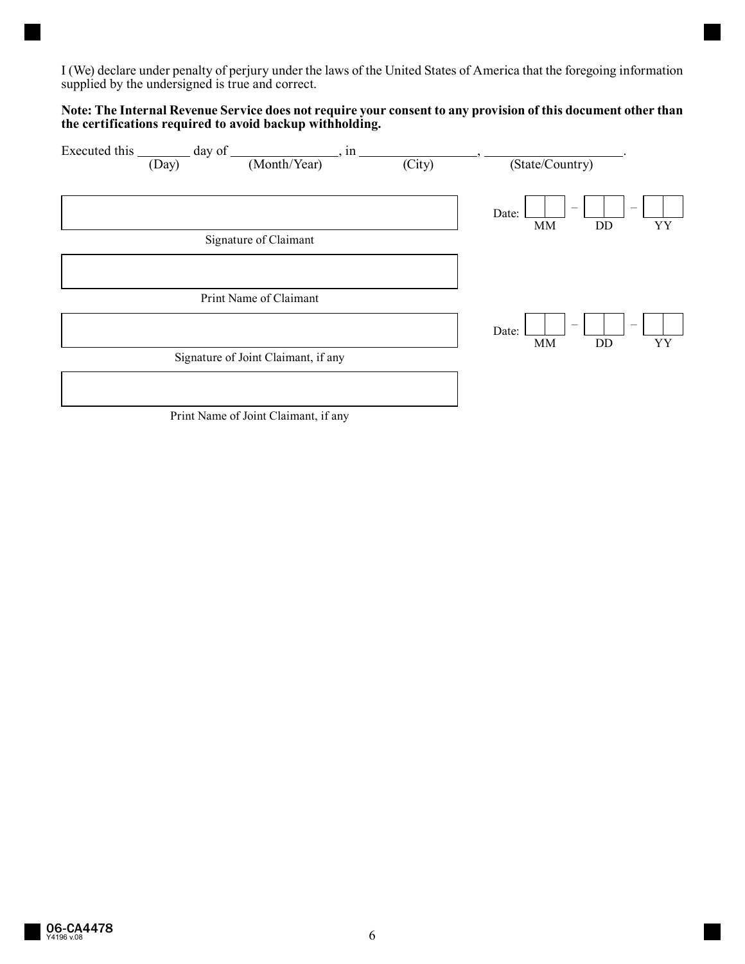I (We) declare under penalty of perjury under the laws of the United States of America that the foregoing information supplied by the undersigned is true and correct.

## **Note: The Internal Revenue Service does not require your consent to any provision of this document other than the certifications required to avoid backup withholding.**

| Executed this | $day$ of                            | , in   |                                   |                                 |
|---------------|-------------------------------------|--------|-----------------------------------|---------------------------------|
| (Day)         | (Month/Year)                        | (City) | (State/Country)                   |                                 |
|               |                                     |        |                                   |                                 |
|               |                                     |        |                                   | $\hspace{0.1mm}-\hspace{0.1mm}$ |
|               |                                     |        | $\overline{\phantom{m}}$<br>Date: |                                 |
|               |                                     |        | MM<br>DD                          | YY                              |
|               | Signature of Claimant               |        |                                   |                                 |
|               |                                     |        |                                   |                                 |
|               |                                     |        |                                   |                                 |
|               |                                     |        |                                   |                                 |
|               | Print Name of Claimant              |        |                                   |                                 |
|               |                                     |        |                                   |                                 |
|               |                                     |        | $\overline{\phantom{m}}$<br>Date: | $\overline{\phantom{a}}$        |
|               |                                     |        | MM<br>DD                          | YY                              |
|               | Signature of Joint Claimant, if any |        |                                   |                                 |
|               |                                     |        |                                   |                                 |
|               |                                     |        |                                   |                                 |
|               |                                     |        |                                   |                                 |

Print Name of Joint Claimant, if any